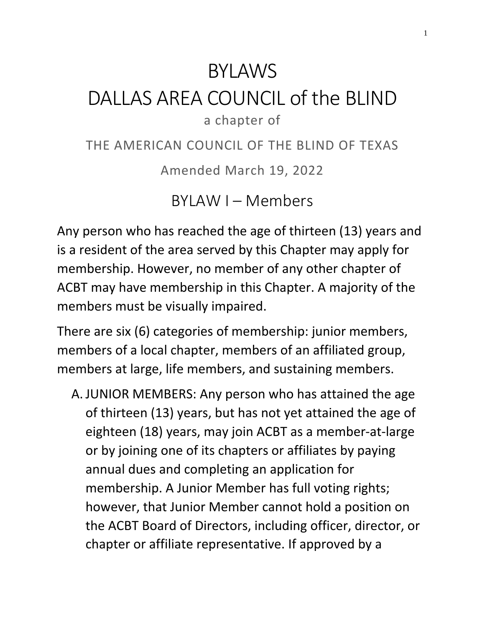# BYLAWS

## DALLAS AREA COUNCIL of the BLIND a chapter of

THE AMERICAN COUNCIL OF THE BLIND OF TEXAS

Amended March 19, 2022

BYLAW I – Members

Any person who has reached the age of thirteen (13) years and is a resident of the area served by this Chapter may apply for membership. However, no member of any other chapter of ACBT may have membership in this Chapter. A majority of the members must be visually impaired.

There are six (6) categories of membership: junior members, members of a local chapter, members of an affiliated group, members at large, life members, and sustaining members.

A. JUNIOR MEMBERS: Any person who has attained the age of thirteen (13) years, but has not yet attained the age of eighteen (18) years, may join ACBT as a member-at-large or by joining one of its chapters or affiliates by paying annual dues and completing an application for membership. A Junior Member has full voting rights; however, that Junior Member cannot hold a position on the ACBT Board of Directors, including officer, director, or chapter or affiliate representative. If approved by a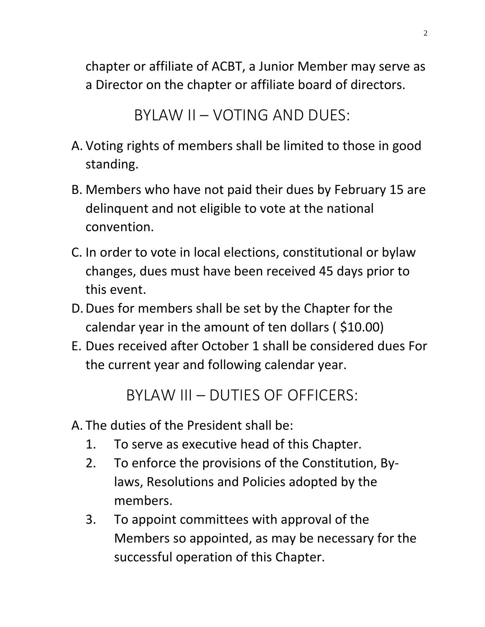chapter or affiliate of ACBT, a Junior Member may serve as a Director on the chapter or affiliate board of directors.

```
BYLAW II – VOTING AND DUES:
```
- A. Voting rights of members shall be limited to those in good standing.
- B. Members who have not paid their dues by February 15 are delinquent and not eligible to vote at the national convention.
- C. In order to vote in local elections, constitutional or bylaw changes, dues must have been received 45 days prior to this event.
- D.Dues for members shall be set by the Chapter for the calendar year in the amount of ten dollars ( \$10.00)
- E. Dues received after October 1 shall be considered dues For the current year and following calendar year.

BYLAW III – DUTIES OF OFFICERS:

- A. The duties of the President shall be:
	- 1. To serve as executive head of this Chapter.
	- 2. To enforce the provisions of the Constitution, Bylaws, Resolutions and Policies adopted by the members.
	- 3. To appoint committees with approval of the Members so appointed, as may be necessary for the successful operation of this Chapter.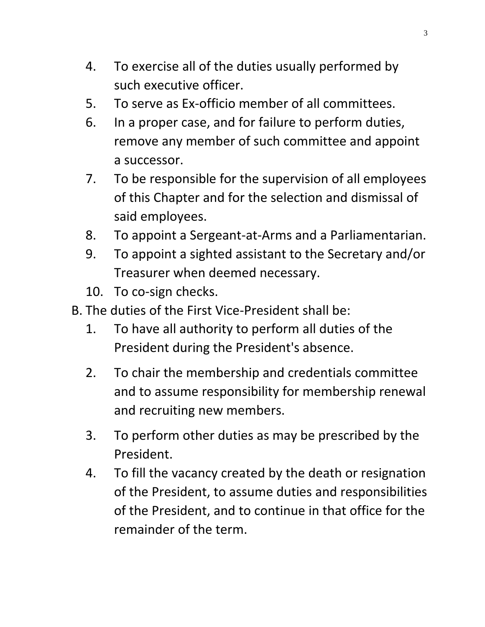- 4. To exercise all of the duties usually performed by such executive officer.
- 5. To serve as Ex-officio member of all committees.
- 6. In a proper case, and for failure to perform duties, remove any member of such committee and appoint a successor.
- 7. To be responsible for the supervision of all employees of this Chapter and for the selection and dismissal of said employees.
- 8. To appoint a Sergeant-at-Arms and a Parliamentarian.
- 9. To appoint a sighted assistant to the Secretary and/or Treasurer when deemed necessary.
- 10. To co-sign checks.
- B. The duties of the First Vice-President shall be:
	- 1. To have all authority to perform all duties of the President during the President's absence.
	- 2. To chair the membership and credentials committee and to assume responsibility for membership renewal and recruiting new members.
	- 3. To perform other duties as may be prescribed by the President.
	- 4. To fill the vacancy created by the death or resignation of the President, to assume duties and responsibilities of the President, and to continue in that office for the remainder of the term.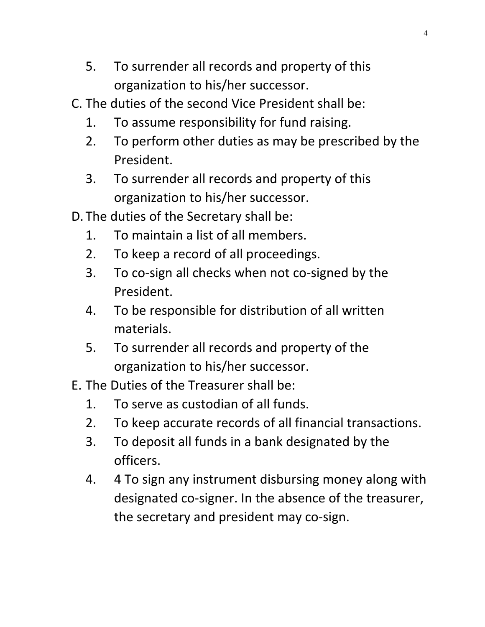- 5. To surrender all records and property of this organization to his/her successor.
- C. The duties of the second Vice President shall be:
	- 1. To assume responsibility for fund raising.
	- 2. To perform other duties as may be prescribed by the President.
	- 3. To surrender all records and property of this organization to his/her successor.
- D. The duties of the Secretary shall be:
	- 1. To maintain a list of all members.
	- 2. To keep a record of all proceedings.
	- 3. To co-sign all checks when not co-signed by the President.
	- 4. To be responsible for distribution of all written materials.
	- 5. To surrender all records and property of the organization to his/her successor.
- E. The Duties of the Treasurer shall be:
	- 1. To serve as custodian of all funds.
	- 2. To keep accurate records of all financial transactions.
	- 3. To deposit all funds in a bank designated by the officers.
	- 4. 4 To sign any instrument disbursing money along with designated co-signer. In the absence of the treasurer, the secretary and president may co-sign.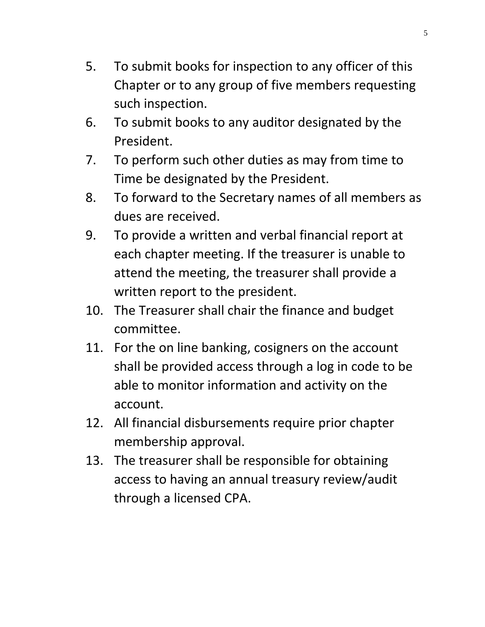- 5. To submit books for inspection to any officer of this Chapter or to any group of five members requesting such inspection.
- 6. To submit books to any auditor designated by the President.
- 7. To perform such other duties as may from time to Time be designated by the President.
- 8. To forward to the Secretary names of all members as dues are received.
- 9. To provide a written and verbal financial report at each chapter meeting. If the treasurer is unable to attend the meeting, the treasurer shall provide a written report to the president.
- 10. The Treasurer shall chair the finance and budget committee.
- 11. For the on line banking, cosigners on the account shall be provided access through a log in code to be able to monitor information and activity on the account.
- 12. All financial disbursements require prior chapter membership approval.
- 13. The treasurer shall be responsible for obtaining access to having an annual treasury review/audit through a licensed CPA.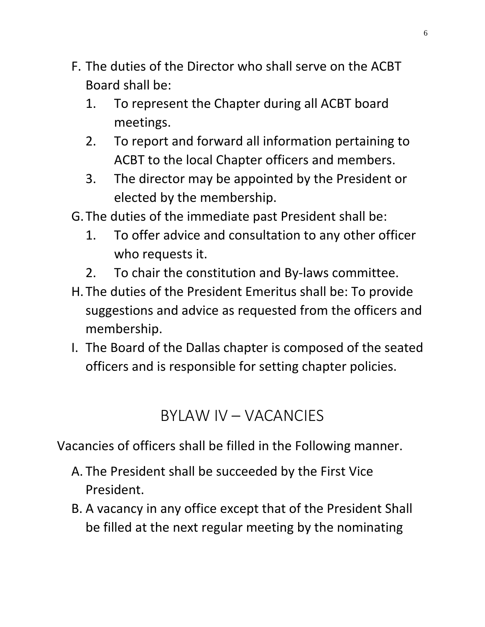- F. The duties of the Director who shall serve on the ACBT Board shall be:
	- 1. To represent the Chapter during all ACBT board meetings.
	- 2. To report and forward all information pertaining to ACBT to the local Chapter officers and members.
	- 3. The director may be appointed by the President or elected by the membership.
- G.The duties of the immediate past President shall be:
	- 1. To offer advice and consultation to any other officer who requests it.
	- 2. To chair the constitution and By-laws committee.
- H. The duties of the President Emeritus shall be: To provide suggestions and advice as requested from the officers and membership.
- I. The Board of the Dallas chapter is composed of the seated officers and is responsible for setting chapter policies.

#### BYLAW IV – VACANCIES

Vacancies of officers shall be filled in the Following manner.

- A. The President shall be succeeded by the First Vice President.
- B. A vacancy in any office except that of the President Shall be filled at the next regular meeting by the nominating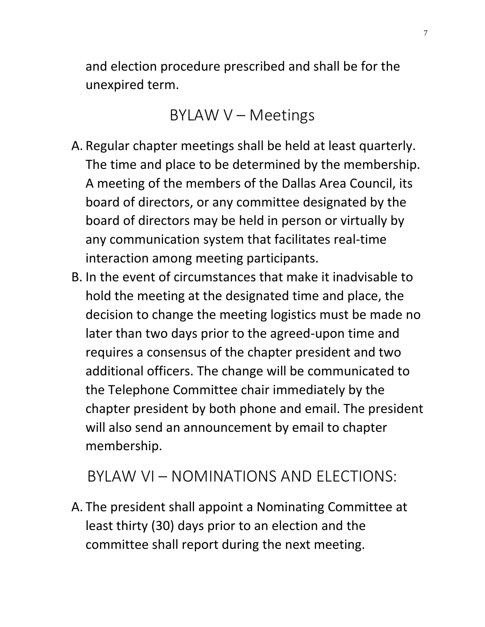and election procedure prescribed and shall be for the unexpired term.

BYLAW V – Meetings

- A. Regular chapter meetings shall be held at least quarterly. The time and place to be determined by the membership. A meeting of the members of the Dallas Area Council, its board of directors, or any committee designated by the board of directors may be held in person or virtually by any communication system that facilitates real-time interaction among meeting participants.
- B. In the event of circumstances that make it inadvisable to hold the meeting at the designated time and place, the decision to change the meeting logistics must be made no later than two days prior to the agreed-upon time and requires a consensus of the chapter president and two additional officers. The change will be communicated to the Telephone Committee chair immediately by the chapter president by both phone and email. The president will also send an announcement by email to chapter membership.

#### BYLAW VI – NOMINATIONS AND ELECTIONS:

A. The president shall appoint a Nominating Committee at least thirty (30) days prior to an election and the committee shall report during the next meeting.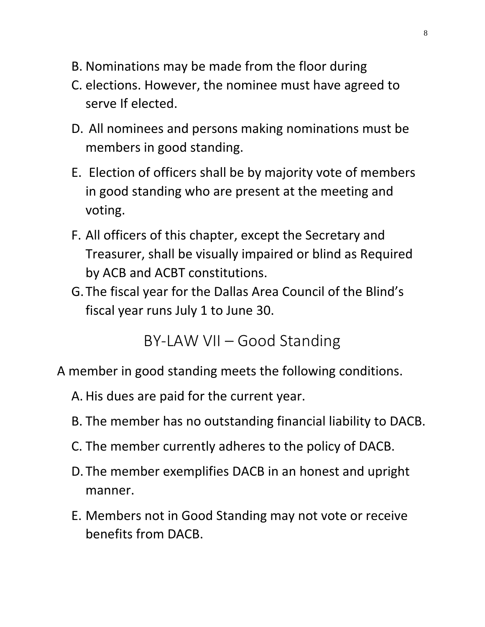- B. Nominations may be made from the floor during
- C. elections. However, the nominee must have agreed to serve If elected.
- D. All nominees and persons making nominations must be members in good standing.
- E. Election of officers shall be by majority vote of members in good standing who are present at the meeting and voting.
- F. All officers of this chapter, except the Secretary and Treasurer, shall be visually impaired or blind as Required by ACB and ACBT constitutions.
- G.The fiscal year for the Dallas Area Council of the Blind's fiscal year runs July 1 to June 30.

BY-LAW VII – Good Standing

A member in good standing meets the following conditions.

- A. His dues are paid for the current year.
- B. The member has no outstanding financial liability to DACB.
- C. The member currently adheres to the policy of DACB.
- D. The member exemplifies DACB in an honest and upright manner.
- E. Members not in Good Standing may not vote or receive benefits from DACB.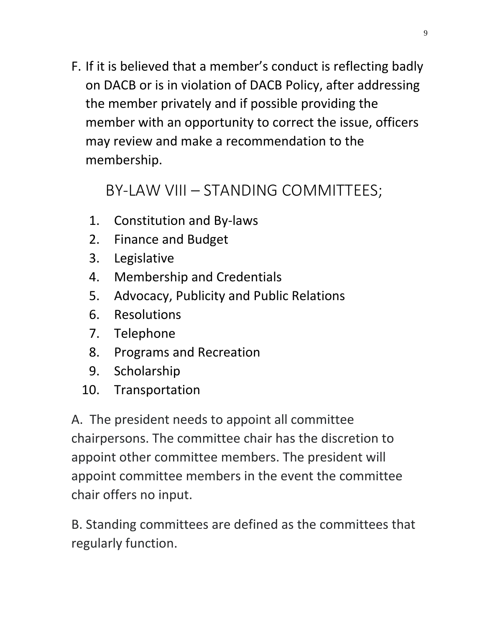F. If it is believed that a member's conduct is reflecting badly on DACB or is in violation of DACB Policy, after addressing the member privately and if possible providing the member with an opportunity to correct the issue, officers may review and make a recommendation to the membership.

### BY-LAW VIII – STANDING COMMITTEES;

- 1. Constitution and By-laws
- 2. Finance and Budget
- 3. Legislative
- 4. Membership and Credentials
- 5. Advocacy, Publicity and Public Relations
- 6. Resolutions
- 7. Telephone
- 8. Programs and Recreation
- 9. Scholarship
- 10. Transportation

A. The president needs to appoint all committee chairpersons. The committee chair has the discretion to appoint other committee members. The president will appoint committee members in the event the committee chair offers no input.

B. Standing committees are defined as the committees that regularly function.